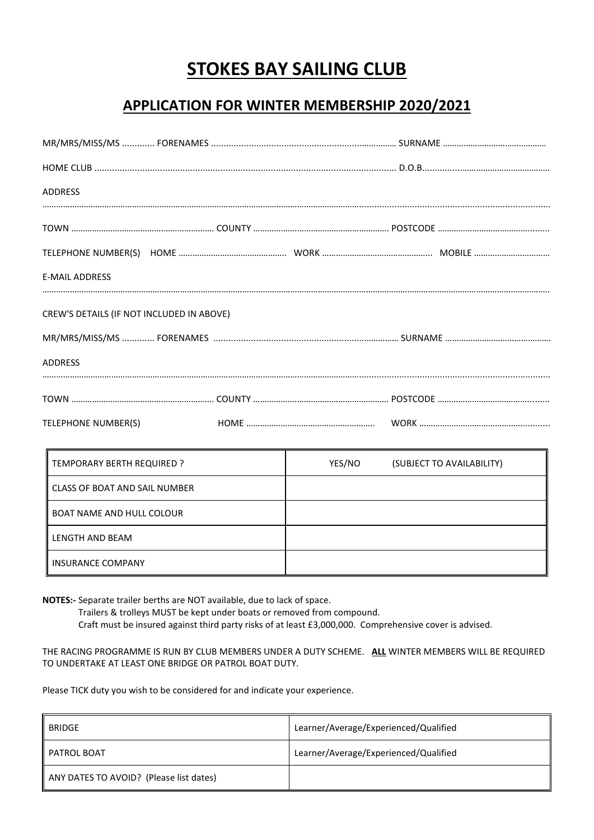# **STOKES BAY SAILING CLUB**

## **APPLICATION FOR WINTER MEMBERSHIP 2020/2021**

| ADDRESS                                   |  |  |
|-------------------------------------------|--|--|
|                                           |  |  |
|                                           |  |  |
| <b>E-MAIL ADDRESS</b>                     |  |  |
| CREW'S DETAILS (IF NOT INCLUDED IN ABOVE) |  |  |
|                                           |  |  |
| <b>ADDRESS</b>                            |  |  |
|                                           |  |  |
| TELEPHONE NUMBER(S)                       |  |  |

| TEMPORARY BERTH REQUIRED ?       | YES/NO<br>(SUBJECT TO AVAILABILITY) |
|----------------------------------|-------------------------------------|
| CLASS OF BOAT AND SAIL NUMBER    |                                     |
| <b>BOAT NAME AND HULL COLOUR</b> |                                     |
| LENGTH AND BEAM                  |                                     |
| <b>INSURANCE COMPANY</b>         |                                     |

**NOTES:-** Separate trailer berths are NOT available, due to lack of space.

Trailers & trolleys MUST be kept under boats or removed from compound.

Craft must be insured against third party risks of at least £3,000,000. Comprehensive cover is advised.

THE RACING PROGRAMME IS RUN BY CLUB MEMBERS UNDER A DUTY SCHEME. **ALL** WINTER MEMBERS WILL BE REQUIRED TO UNDERTAKE AT LEAST ONE BRIDGE OR PATROL BOAT DUTY.

Please TICK duty you wish to be considered for and indicate your experience.

| BRIDGE                                  | Learner/Average/Experienced/Qualified |
|-----------------------------------------|---------------------------------------|
| I PATROL BOAT                           | Learner/Average/Experienced/Qualified |
| ANY DATES TO AVOID? (Please list dates) |                                       |